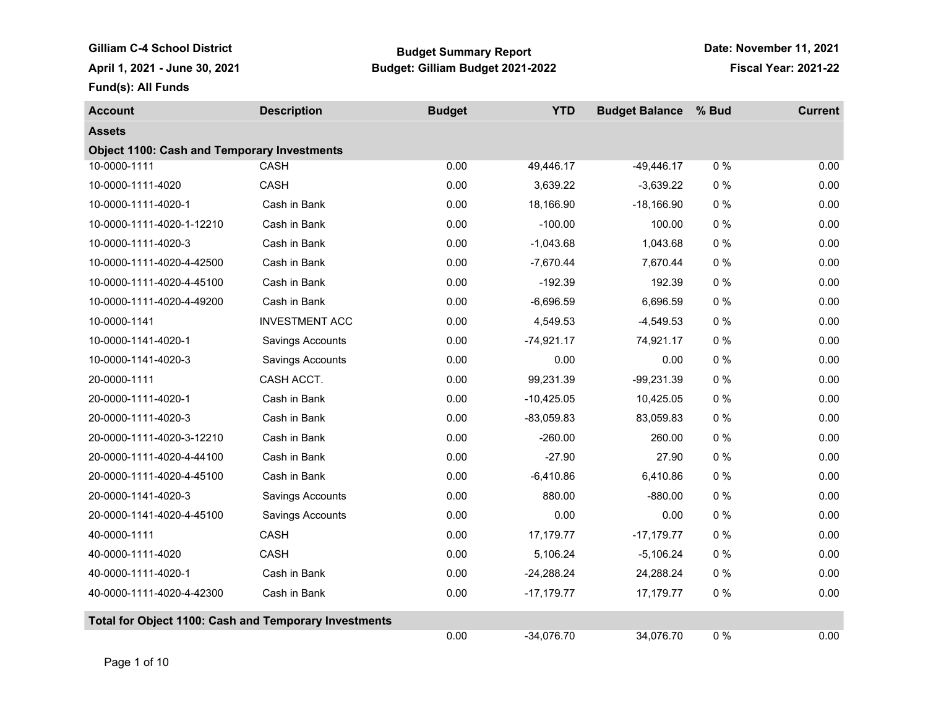Gilliam C-4 School District **Budget Summary Report April 1, 2021 - June 30, 2021 Budget: Gilliam Budget 2021-2022 Fiscal Year: 2021-22**

**Date: November 11, 2021**

**Fund(s): All Funds**

| <b>Account</b>                                        | <b>Description</b>      | <b>Budget</b> | <b>YTD</b>   | <b>Budget Balance</b> | % Bud | <b>Current</b> |
|-------------------------------------------------------|-------------------------|---------------|--------------|-----------------------|-------|----------------|
| <b>Assets</b>                                         |                         |               |              |                       |       |                |
| <b>Object 1100: Cash and Temporary Investments</b>    |                         |               |              |                       |       |                |
| 10-0000-1111                                          | <b>CASH</b>             | 0.00          | 49,446.17    | $-49,446.17$          | $0\%$ | 0.00           |
| 10-0000-1111-4020                                     | CASH                    | 0.00          | 3,639.22     | $-3,639.22$           | $0\%$ | 0.00           |
| 10-0000-1111-4020-1                                   | Cash in Bank            | 0.00          | 18,166.90    | $-18,166.90$          | 0%    | 0.00           |
| 10-0000-1111-4020-1-12210                             | Cash in Bank            | 0.00          | $-100.00$    | 100.00                | $0\%$ | 0.00           |
| 10-0000-1111-4020-3                                   | Cash in Bank            | 0.00          | $-1,043.68$  | 1,043.68              | 0%    | 0.00           |
| 10-0000-1111-4020-4-42500                             | Cash in Bank            | 0.00          | $-7,670.44$  | 7,670.44              | $0\%$ | 0.00           |
| 10-0000-1111-4020-4-45100                             | Cash in Bank            | 0.00          | $-192.39$    | 192.39                | $0\%$ | 0.00           |
| 10-0000-1111-4020-4-49200                             | Cash in Bank            | 0.00          | $-6,696.59$  | 6,696.59              | 0%    | 0.00           |
| 10-0000-1141                                          | <b>INVESTMENT ACC</b>   | 0.00          | 4,549.53     | $-4,549.53$           | $0\%$ | 0.00           |
| 10-0000-1141-4020-1                                   | <b>Savings Accounts</b> | 0.00          | $-74,921.17$ | 74,921.17             | $0\%$ | 0.00           |
| 10-0000-1141-4020-3                                   | <b>Savings Accounts</b> | 0.00          | 0.00         | 0.00                  | $0\%$ | 0.00           |
| 20-0000-1111                                          | CASH ACCT.              | 0.00          | 99,231.39    | $-99,231.39$          | $0\%$ | 0.00           |
| 20-0000-1111-4020-1                                   | Cash in Bank            | 0.00          | $-10,425.05$ | 10,425.05             | $0\%$ | 0.00           |
| 20-0000-1111-4020-3                                   | Cash in Bank            | 0.00          | $-83,059.83$ | 83,059.83             | $0\%$ | 0.00           |
| 20-0000-1111-4020-3-12210                             | Cash in Bank            | 0.00          | $-260.00$    | 260.00                | 0%    | 0.00           |
| 20-0000-1111-4020-4-44100                             | Cash in Bank            | 0.00          | $-27.90$     | 27.90                 | $0\%$ | 0.00           |
| 20-0000-1111-4020-4-45100                             | Cash in Bank            | 0.00          | $-6,410.86$  | 6,410.86              | 0%    | 0.00           |
| 20-0000-1141-4020-3                                   | Savings Accounts        | 0.00          | 880.00       | $-880.00$             | $0\%$ | 0.00           |
| 20-0000-1141-4020-4-45100                             | Savings Accounts        | 0.00          | 0.00         | 0.00                  | $0\%$ | 0.00           |
| 40-0000-1111                                          | CASH                    | 0.00          | 17,179.77    | $-17,179.77$          | $0\%$ | 0.00           |
| 40-0000-1111-4020                                     | CASH                    | 0.00          | 5,106.24     | $-5,106.24$           | $0\%$ | 0.00           |
| 40-0000-1111-4020-1                                   | Cash in Bank            | 0.00          | $-24,288.24$ | 24,288.24             | 0%    | 0.00           |
| 40-0000-1111-4020-4-42300                             | Cash in Bank            | 0.00          | $-17,179.77$ | 17,179.77             | $0\%$ | 0.00           |
| Total for Object 1100: Cash and Temporary Investments |                         |               |              |                       |       |                |
|                                                       |                         | 0.00          | $-34,076.70$ | 34,076.70             | $0\%$ | 0.00           |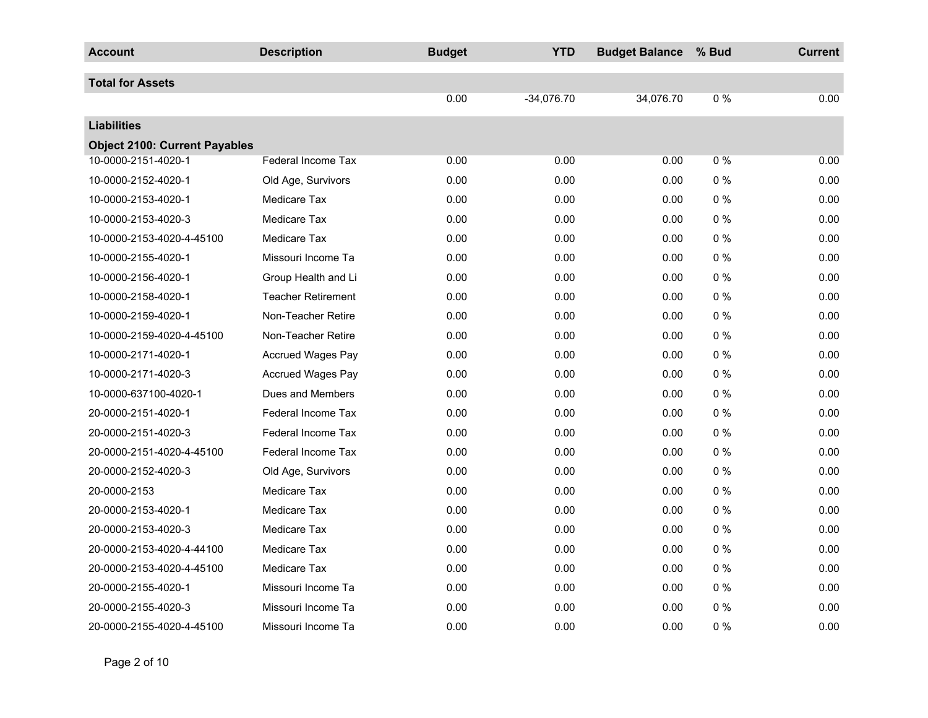| <b>Account</b>                       | <b>Description</b>        | <b>Budget</b> | <b>YTD</b>   | <b>Budget Balance</b> | % Bud | <b>Current</b> |
|--------------------------------------|---------------------------|---------------|--------------|-----------------------|-------|----------------|
| <b>Total for Assets</b>              |                           |               |              |                       |       |                |
|                                      |                           | 0.00          | $-34,076.70$ | 34,076.70             | $0\%$ | 0.00           |
| <b>Liabilities</b>                   |                           |               |              |                       |       |                |
| <b>Object 2100: Current Payables</b> |                           |               |              |                       |       |                |
| 10-0000-2151-4020-1                  | <b>Federal Income Tax</b> | 0.00          | 0.00         | 0.00                  | 0%    | 0.00           |
| 10-0000-2152-4020-1                  | Old Age, Survivors        | 0.00          | 0.00         | 0.00                  | $0\%$ | 0.00           |
| 10-0000-2153-4020-1                  | <b>Medicare Tax</b>       | 0.00          | 0.00         | 0.00                  | $0\%$ | 0.00           |
| 10-0000-2153-4020-3                  | <b>Medicare Tax</b>       | 0.00          | 0.00         | 0.00                  | $0\%$ | 0.00           |
| 10-0000-2153-4020-4-45100            | Medicare Tax              | 0.00          | 0.00         | 0.00                  | $0\%$ | 0.00           |
| 10-0000-2155-4020-1                  | Missouri Income Ta        | 0.00          | 0.00         | 0.00                  | $0\%$ | 0.00           |
| 10-0000-2156-4020-1                  | Group Health and Li       | 0.00          | 0.00         | 0.00                  | $0\%$ | 0.00           |
| 10-0000-2158-4020-1                  | <b>Teacher Retirement</b> | 0.00          | 0.00         | 0.00                  | $0\%$ | 0.00           |
| 10-0000-2159-4020-1                  | Non-Teacher Retire        | 0.00          | 0.00         | 0.00                  | $0\%$ | 0.00           |
| 10-0000-2159-4020-4-45100            | Non-Teacher Retire        | 0.00          | 0.00         | 0.00                  | $0\%$ | 0.00           |
| 10-0000-2171-4020-1                  | Accrued Wages Pay         | 0.00          | 0.00         | 0.00                  | $0\%$ | 0.00           |
| 10-0000-2171-4020-3                  | <b>Accrued Wages Pay</b>  | 0.00          | 0.00         | 0.00                  | $0\%$ | 0.00           |
| 10-0000-637100-4020-1                | Dues and Members          | 0.00          | 0.00         | 0.00                  | $0\%$ | 0.00           |
| 20-0000-2151-4020-1                  | <b>Federal Income Tax</b> | 0.00          | 0.00         | 0.00                  | $0\%$ | 0.00           |
| 20-0000-2151-4020-3                  | <b>Federal Income Tax</b> | 0.00          | 0.00         | 0.00                  | $0\%$ | 0.00           |
| 20-0000-2151-4020-4-45100            | <b>Federal Income Tax</b> | 0.00          | 0.00         | 0.00                  | $0\%$ | 0.00           |
| 20-0000-2152-4020-3                  | Old Age, Survivors        | 0.00          | 0.00         | 0.00                  | 0%    | 0.00           |
| 20-0000-2153                         | <b>Medicare Tax</b>       | 0.00          | 0.00         | 0.00                  | $0\%$ | 0.00           |
| 20-0000-2153-4020-1                  | <b>Medicare Tax</b>       | 0.00          | 0.00         | 0.00                  | $0\%$ | 0.00           |
| 20-0000-2153-4020-3                  | <b>Medicare Tax</b>       | 0.00          | 0.00         | 0.00                  | $0\%$ | 0.00           |
| 20-0000-2153-4020-4-44100            | <b>Medicare Tax</b>       | 0.00          | 0.00         | 0.00                  | $0\%$ | 0.00           |
| 20-0000-2153-4020-4-45100            | <b>Medicare Tax</b>       | 0.00          | 0.00         | 0.00                  | $0\%$ | 0.00           |
| 20-0000-2155-4020-1                  | Missouri Income Ta        | 0.00          | 0.00         | 0.00                  | $0\%$ | 0.00           |
| 20-0000-2155-4020-3                  | Missouri Income Ta        | 0.00          | 0.00         | 0.00                  | $0\%$ | 0.00           |
| 20-0000-2155-4020-4-45100            | Missouri Income Ta        | 0.00          | 0.00         | 0.00                  | $0\%$ | 0.00           |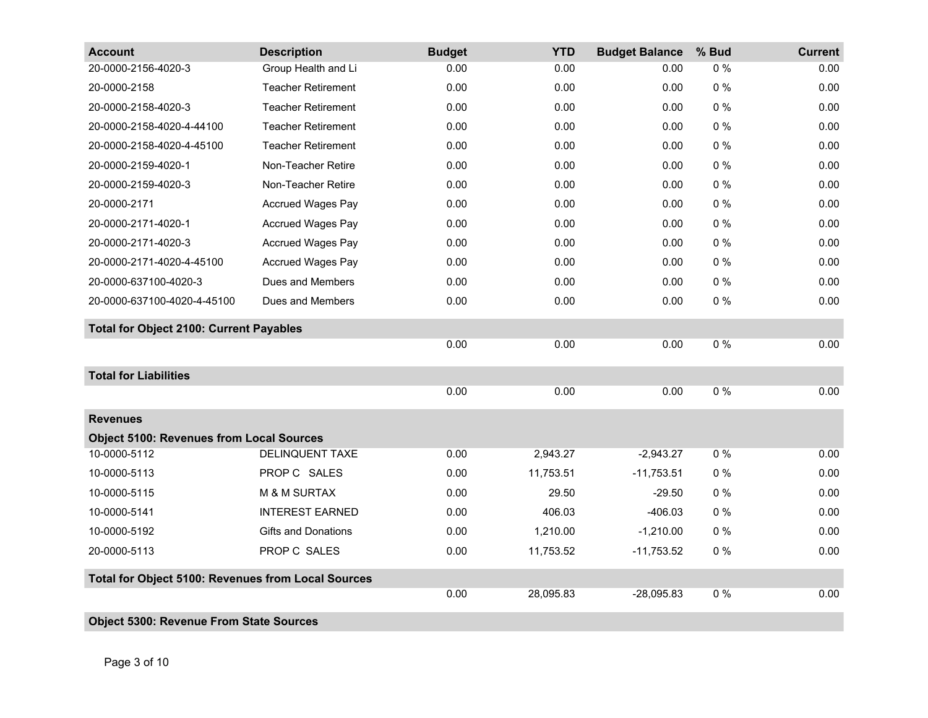| <b>Account</b>                                     | <b>Description</b>         | <b>Budget</b> | <b>YTD</b> | <b>Budget Balance</b> | % Bud | <b>Current</b> |
|----------------------------------------------------|----------------------------|---------------|------------|-----------------------|-------|----------------|
| 20-0000-2156-4020-3                                | Group Health and Li        | 0.00          | 0.00       | 0.00                  | $0\%$ | 0.00           |
| 20-0000-2158                                       | <b>Teacher Retirement</b>  | 0.00          | 0.00       | 0.00                  | $0\%$ | 0.00           |
| 20-0000-2158-4020-3                                | <b>Teacher Retirement</b>  | 0.00          | 0.00       | 0.00                  | $0\%$ | 0.00           |
| 20-0000-2158-4020-4-44100                          | <b>Teacher Retirement</b>  | 0.00          | 0.00       | 0.00                  | $0\%$ | 0.00           |
| 20-0000-2158-4020-4-45100                          | <b>Teacher Retirement</b>  | 0.00          | 0.00       | 0.00                  | $0\%$ | 0.00           |
| 20-0000-2159-4020-1                                | Non-Teacher Retire         | 0.00          | 0.00       | 0.00                  | $0\%$ | 0.00           |
| 20-0000-2159-4020-3                                | Non-Teacher Retire         | 0.00          | 0.00       | 0.00                  | $0\%$ | 0.00           |
| 20-0000-2171                                       | <b>Accrued Wages Pay</b>   | 0.00          | 0.00       | 0.00                  | $0\%$ | 0.00           |
| 20-0000-2171-4020-1                                | <b>Accrued Wages Pay</b>   | 0.00          | 0.00       | 0.00                  | $0\%$ | 0.00           |
| 20-0000-2171-4020-3                                | <b>Accrued Wages Pay</b>   | 0.00          | 0.00       | 0.00                  | $0\%$ | 0.00           |
| 20-0000-2171-4020-4-45100                          | <b>Accrued Wages Pay</b>   | 0.00          | 0.00       | 0.00                  | $0\%$ | 0.00           |
| 20-0000-637100-4020-3                              | Dues and Members           | 0.00          | 0.00       | 0.00                  | $0\%$ | 0.00           |
| 20-0000-637100-4020-4-45100                        | Dues and Members           | 0.00          | 0.00       | 0.00                  | $0\%$ | 0.00           |
| <b>Total for Object 2100: Current Payables</b>     |                            |               |            |                       |       |                |
|                                                    |                            | 0.00          | 0.00       | 0.00                  | $0\%$ | 0.00           |
| <b>Total for Liabilities</b>                       |                            |               |            |                       |       |                |
|                                                    |                            | 0.00          | 0.00       | 0.00                  | 0%    | 0.00           |
| <b>Revenues</b>                                    |                            |               |            |                       |       |                |
| <b>Object 5100: Revenues from Local Sources</b>    |                            |               |            |                       |       |                |
| 10-0000-5112                                       | DELINQUENT TAXE            | 0.00          | 2,943.27   | $-2,943.27$           | 0%    | 0.00           |
| 10-0000-5113                                       | PROP C SALES               | 0.00          | 11,753.51  | $-11,753.51$          | $0\%$ | 0.00           |
| 10-0000-5115                                       | M & M SURTAX               | 0.00          | 29.50      | $-29.50$              | $0\%$ | 0.00           |
| 10-0000-5141                                       | <b>INTEREST EARNED</b>     | 0.00          | 406.03     | $-406.03$             | $0\%$ | 0.00           |
| 10-0000-5192                                       | <b>Gifts and Donations</b> | 0.00          | 1,210.00   | $-1,210.00$           | $0\%$ | 0.00           |
| 20-0000-5113                                       | PROP C SALES               | 0.00          | 11,753.52  | $-11,753.52$          | $0\%$ | 0.00           |
| Total for Object 5100: Revenues from Local Sources |                            |               |            |                       |       |                |
|                                                    |                            | 0.00          | 28,095.83  | $-28,095.83$          | $0\%$ | 0.00           |
| <b>Object 5300: Revenue From State Sources</b>     |                            |               |            |                       |       |                |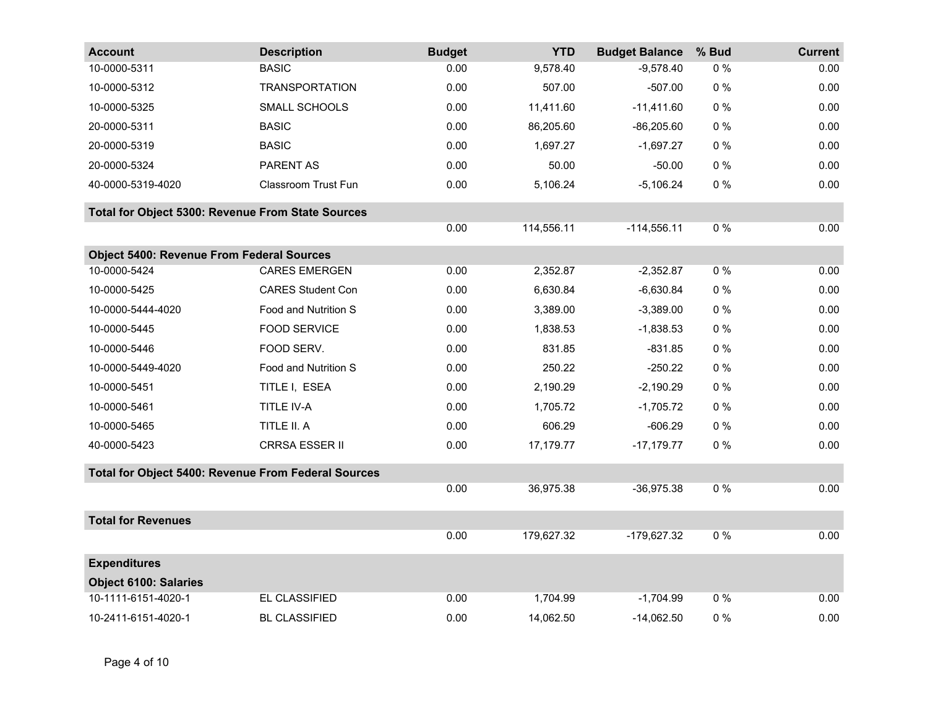| <b>Account</b>                                      | <b>Description</b>       | <b>Budget</b> | <b>YTD</b> | <b>Budget Balance</b> | % Bud | <b>Current</b> |  |  |
|-----------------------------------------------------|--------------------------|---------------|------------|-----------------------|-------|----------------|--|--|
| 10-0000-5311                                        | <b>BASIC</b>             | 0.00          | 9,578.40   | $-9,578.40$           | $0\%$ | 0.00           |  |  |
| 10-0000-5312                                        | <b>TRANSPORTATION</b>    | 0.00          | 507.00     | $-507.00$             | $0\%$ | 0.00           |  |  |
| 10-0000-5325                                        | SMALL SCHOOLS            | 0.00          | 11,411.60  | $-11,411.60$          | $0\%$ | 0.00           |  |  |
| 20-0000-5311                                        | <b>BASIC</b>             | 0.00          | 86,205.60  | $-86,205.60$          | $0\%$ | 0.00           |  |  |
| 20-0000-5319                                        | <b>BASIC</b>             | 0.00          | 1,697.27   | $-1,697.27$           | $0\%$ | 0.00           |  |  |
| 20-0000-5324                                        | PARENT AS                | 0.00          | 50.00      | $-50.00$              | 0%    | 0.00           |  |  |
| 40-0000-5319-4020                                   | Classroom Trust Fun      | 0.00          | 5,106.24   | $-5,106.24$           | $0\%$ | 0.00           |  |  |
| Total for Object 5300: Revenue From State Sources   |                          |               |            |                       |       |                |  |  |
|                                                     |                          | 0.00          | 114,556.11 | $-114,556.11$         | $0\%$ | 0.00           |  |  |
| <b>Object 5400: Revenue From Federal Sources</b>    |                          |               |            |                       |       |                |  |  |
| 10-0000-5424                                        | <b>CARES EMERGEN</b>     | 0.00          | 2,352.87   | $-2,352.87$           | $0\%$ | 0.00           |  |  |
| 10-0000-5425                                        | <b>CARES Student Con</b> | 0.00          | 6,630.84   | $-6,630.84$           | $0\%$ | 0.00           |  |  |
| 10-0000-5444-4020                                   | Food and Nutrition S     | 0.00          | 3,389.00   | $-3,389.00$           | $0\%$ | 0.00           |  |  |
| 10-0000-5445                                        | <b>FOOD SERVICE</b>      | 0.00          | 1,838.53   | $-1,838.53$           | $0\%$ | 0.00           |  |  |
| 10-0000-5446                                        | FOOD SERV.               | 0.00          | 831.85     | $-831.85$             | $0\%$ | 0.00           |  |  |
| 10-0000-5449-4020                                   | Food and Nutrition S     | 0.00          | 250.22     | $-250.22$             | $0\%$ | 0.00           |  |  |
| 10-0000-5451                                        | TITLE I, ESEA            | 0.00          | 2,190.29   | $-2,190.29$           | $0\%$ | 0.00           |  |  |
| 10-0000-5461                                        | TITLE IV-A               | 0.00          | 1,705.72   | $-1,705.72$           | $0\%$ | 0.00           |  |  |
| 10-0000-5465                                        | TITLE II. A              | 0.00          | 606.29     | $-606.29$             | $0\%$ | 0.00           |  |  |
| 40-0000-5423                                        | CRRSA ESSER II           | 0.00          | 17,179.77  | $-17,179.77$          | $0\%$ | 0.00           |  |  |
| Total for Object 5400: Revenue From Federal Sources |                          |               |            |                       |       |                |  |  |
|                                                     |                          | 0.00          | 36,975.38  | $-36,975.38$          | $0\%$ | 0.00           |  |  |
| <b>Total for Revenues</b>                           |                          |               |            |                       |       |                |  |  |
|                                                     |                          | 0.00          | 179,627.32 | -179,627.32           | $0\%$ | 0.00           |  |  |
| <b>Expenditures</b>                                 |                          |               |            |                       |       |                |  |  |
| <b>Object 6100: Salaries</b>                        |                          |               |            |                       |       |                |  |  |
| 10-1111-6151-4020-1                                 | EL CLASSIFIED            | 0.00          | 1,704.99   | $-1,704.99$           | $0\%$ | 0.00           |  |  |
| 10-2411-6151-4020-1                                 | <b>BL CLASSIFIED</b>     | 0.00          | 14,062.50  | $-14,062.50$          | $0\%$ | 0.00           |  |  |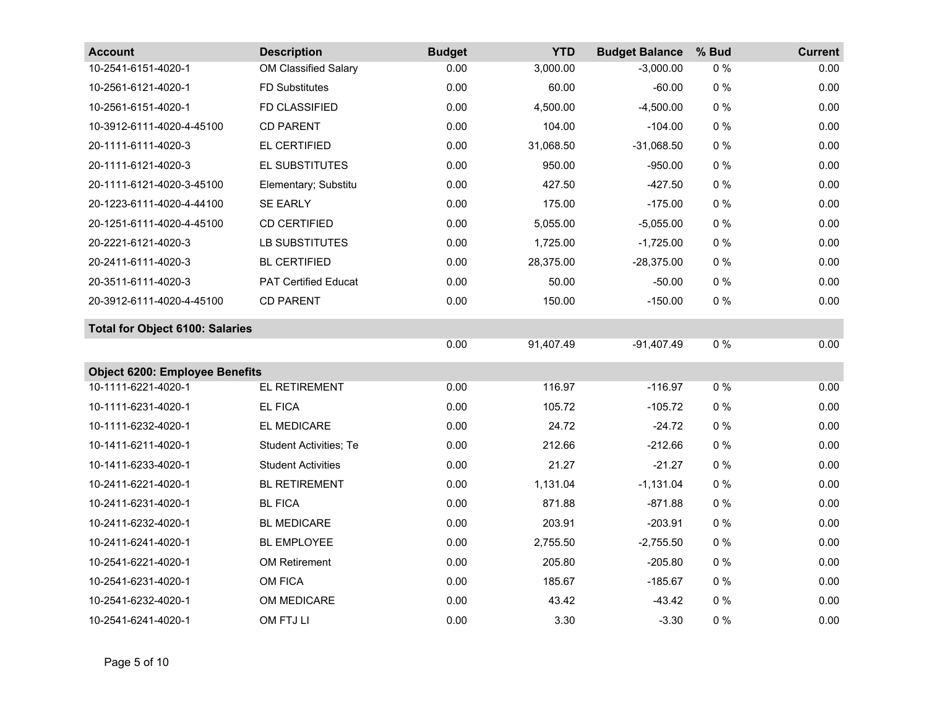| <b>Account</b>                         | <b>Description</b>            | <b>Budget</b> | <b>YTD</b> | <b>Budget Balance</b> | % Bud | <b>Current</b> |
|----------------------------------------|-------------------------------|---------------|------------|-----------------------|-------|----------------|
| 10-2541-6151-4020-1                    | OM Classified Salary          | 0.00          | 3,000.00   | $-3,000.00$           | 0%    | 0.00           |
| 10-2561-6121-4020-1                    | <b>FD Substitutes</b>         | 0.00          | 60.00      | $-60.00$              | $0\%$ | 0.00           |
| 10-2561-6151-4020-1                    | FD CLASSIFIED                 | 0.00          | 4,500.00   | $-4,500.00$           | $0\%$ | 0.00           |
| 10-3912-6111-4020-4-45100              | <b>CD PARENT</b>              | 0.00          | 104.00     | $-104.00$             | $0\%$ | 0.00           |
| 20-1111-6111-4020-3                    | EL CERTIFIED                  | 0.00          | 31,068.50  | $-31,068.50$          | $0\%$ | 0.00           |
| 20-1111-6121-4020-3                    | EL SUBSTITUTES                | 0.00          | 950.00     | $-950.00$             | $0\%$ | 0.00           |
| 20-1111-6121-4020-3-45100              | Elementary; Substitu          | 0.00          | 427.50     | $-427.50$             | $0\%$ | 0.00           |
| 20-1223-6111-4020-4-44100              | <b>SE EARLY</b>               | 0.00          | 175.00     | $-175.00$             | $0\%$ | 0.00           |
| 20-1251-6111-4020-4-45100              | <b>CD CERTIFIED</b>           | 0.00          | 5,055.00   | $-5,055.00$           | $0\%$ | 0.00           |
| 20-2221-6121-4020-3                    | LB SUBSTITUTES                | 0.00          | 1,725.00   | $-1,725.00$           | $0\%$ | 0.00           |
| 20-2411-6111-4020-3                    | <b>BL CERTIFIED</b>           | 0.00          | 28,375.00  | $-28,375.00$          | $0\%$ | 0.00           |
| 20-3511-6111-4020-3                    | <b>PAT Certified Educat</b>   | 0.00          | 50.00      | $-50.00$              | $0\%$ | 0.00           |
| 20-3912-6111-4020-4-45100              | <b>CD PARENT</b>              | 0.00          | 150.00     | $-150.00$             | $0\%$ | 0.00           |
| <b>Total for Object 6100: Salaries</b> |                               |               |            |                       |       |                |
|                                        |                               | 0.00          | 91,407.49  | $-91,407.49$          | $0\%$ | 0.00           |
| <b>Object 6200: Employee Benefits</b>  |                               |               |            |                       |       |                |
| 10-1111-6221-4020-1                    | EL RETIREMENT                 | 0.00          | 116.97     | $-116.97$             | $0\%$ | 0.00           |
| 10-1111-6231-4020-1                    | <b>EL FICA</b>                | 0.00          | 105.72     | $-105.72$             | $0\%$ | 0.00           |
| 10-1111-6232-4020-1                    | EL MEDICARE                   | 0.00          | 24.72      | $-24.72$              | $0\%$ | 0.00           |
| 10-1411-6211-4020-1                    | <b>Student Activities; Te</b> | 0.00          | 212.66     | $-212.66$             | $0\%$ | 0.00           |
| 10-1411-6233-4020-1                    | <b>Student Activities</b>     | 0.00          | 21.27      | $-21.27$              | $0\%$ | 0.00           |
| 10-2411-6221-4020-1                    | <b>BL RETIREMENT</b>          | 0.00          | 1,131.04   | $-1,131.04$           | $0\%$ | 0.00           |
| 10-2411-6231-4020-1                    | <b>BL FICA</b>                | 0.00          | 871.88     | $-871.88$             | $0\%$ | 0.00           |
| 10-2411-6232-4020-1                    | <b>BL MEDICARE</b>            | 0.00          | 203.91     | $-203.91$             | $0\%$ | 0.00           |
| 10-2411-6241-4020-1                    | <b>BL EMPLOYEE</b>            | 0.00          | 2,755.50   | $-2,755.50$           | $0\%$ | 0.00           |
| 10-2541-6221-4020-1                    | <b>OM Retirement</b>          | 0.00          | 205.80     | $-205.80$             | $0\%$ | 0.00           |
| 10-2541-6231-4020-1                    | OM FICA                       | 0.00          | 185.67     | $-185.67$             | $0\%$ | 0.00           |
| 10-2541-6232-4020-1                    | OM MEDICARE                   | 0.00          | 43.42      | $-43.42$              | $0\%$ | 0.00           |
| 10-2541-6241-4020-1                    | OM FTJ LI                     | 0.00          | 3.30       | $-3.30$               | $0\%$ | 0.00           |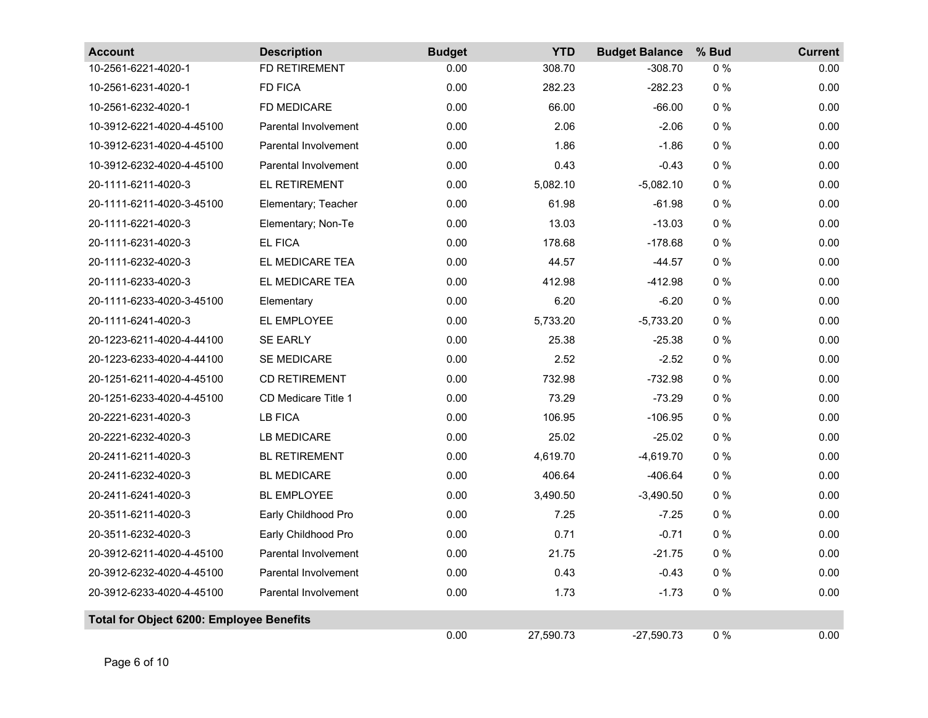| <b>Account</b>                                  | <b>Description</b>          | <b>Budget</b> | <b>YTD</b> | <b>Budget Balance</b> | % Bud | <b>Current</b> |
|-------------------------------------------------|-----------------------------|---------------|------------|-----------------------|-------|----------------|
| 10-2561-6221-4020-1                             | <b>FD RETIREMENT</b>        | 0.00          | 308.70     | $-308.70$             | $0\%$ | 0.00           |
| 10-2561-6231-4020-1                             | FD FICA                     | 0.00          | 282.23     | $-282.23$             | $0\%$ | 0.00           |
| 10-2561-6232-4020-1                             | FD MEDICARE                 | 0.00          | 66.00      | $-66.00$              | $0\%$ | 0.00           |
| 10-3912-6221-4020-4-45100                       | <b>Parental Involvement</b> | 0.00          | 2.06       | $-2.06$               | $0\%$ | 0.00           |
| 10-3912-6231-4020-4-45100                       | <b>Parental Involvement</b> | 0.00          | 1.86       | $-1.86$               | $0\%$ | 0.00           |
| 10-3912-6232-4020-4-45100                       | Parental Involvement        | 0.00          | 0.43       | $-0.43$               | $0\%$ | 0.00           |
| 20-1111-6211-4020-3                             | EL RETIREMENT               | 0.00          | 5,082.10   | $-5,082.10$           | $0\%$ | 0.00           |
| 20-1111-6211-4020-3-45100                       | Elementary; Teacher         | 0.00          | 61.98      | $-61.98$              | $0\%$ | 0.00           |
| 20-1111-6221-4020-3                             | Elementary; Non-Te          | 0.00          | 13.03      | $-13.03$              | $0\%$ | 0.00           |
| 20-1111-6231-4020-3                             | <b>EL FICA</b>              | 0.00          | 178.68     | $-178.68$             | $0\%$ | 0.00           |
| 20-1111-6232-4020-3                             | EL MEDICARE TEA             | 0.00          | 44.57      | $-44.57$              | $0\%$ | 0.00           |
| 20-1111-6233-4020-3                             | EL MEDICARE TEA             | 0.00          | 412.98     | $-412.98$             | $0\%$ | 0.00           |
| 20-1111-6233-4020-3-45100                       | Elementary                  | 0.00          | 6.20       | $-6.20$               | $0\%$ | 0.00           |
| 20-1111-6241-4020-3                             | EL EMPLOYEE                 | 0.00          | 5,733.20   | $-5,733.20$           | $0\%$ | 0.00           |
| 20-1223-6211-4020-4-44100                       | <b>SE EARLY</b>             | 0.00          | 25.38      | $-25.38$              | $0\%$ | 0.00           |
| 20-1223-6233-4020-4-44100                       | SE MEDICARE                 | 0.00          | 2.52       | $-2.52$               | $0\%$ | 0.00           |
| 20-1251-6211-4020-4-45100                       | <b>CD RETIREMENT</b>        | 0.00          | 732.98     | $-732.98$             | $0\%$ | 0.00           |
| 20-1251-6233-4020-4-45100                       | CD Medicare Title 1         | 0.00          | 73.29      | $-73.29$              | $0\%$ | 0.00           |
| 20-2221-6231-4020-3                             | <b>LB FICA</b>              | 0.00          | 106.95     | $-106.95$             | $0\%$ | 0.00           |
| 20-2221-6232-4020-3                             | LB MEDICARE                 | 0.00          | 25.02      | $-25.02$              | $0\%$ | 0.00           |
| 20-2411-6211-4020-3                             | <b>BL RETIREMENT</b>        | 0.00          | 4,619.70   | $-4,619.70$           | $0\%$ | 0.00           |
| 20-2411-6232-4020-3                             | <b>BL MEDICARE</b>          | 0.00          | 406.64     | $-406.64$             | $0\%$ | 0.00           |
| 20-2411-6241-4020-3                             | <b>BL EMPLOYEE</b>          | 0.00          | 3,490.50   | $-3,490.50$           | $0\%$ | 0.00           |
| 20-3511-6211-4020-3                             | Early Childhood Pro         | 0.00          | 7.25       | $-7.25$               | $0\%$ | 0.00           |
| 20-3511-6232-4020-3                             | Early Childhood Pro         | 0.00          | 0.71       | $-0.71$               | $0\%$ | 0.00           |
| 20-3912-6211-4020-4-45100                       | Parental Involvement        | 0.00          | 21.75      | $-21.75$              | $0\%$ | 0.00           |
| 20-3912-6232-4020-4-45100                       | Parental Involvement        | 0.00          | 0.43       | $-0.43$               | $0\%$ | 0.00           |
| 20-3912-6233-4020-4-45100                       | Parental Involvement        | 0.00          | 1.73       | $-1.73$               | $0\%$ | 0.00           |
| <b>Total for Object 6200: Employee Benefits</b> |                             |               |            |                       |       |                |
|                                                 |                             | 0.00          | 27,590.73  | $-27,590.73$          | $0\%$ | 0.00           |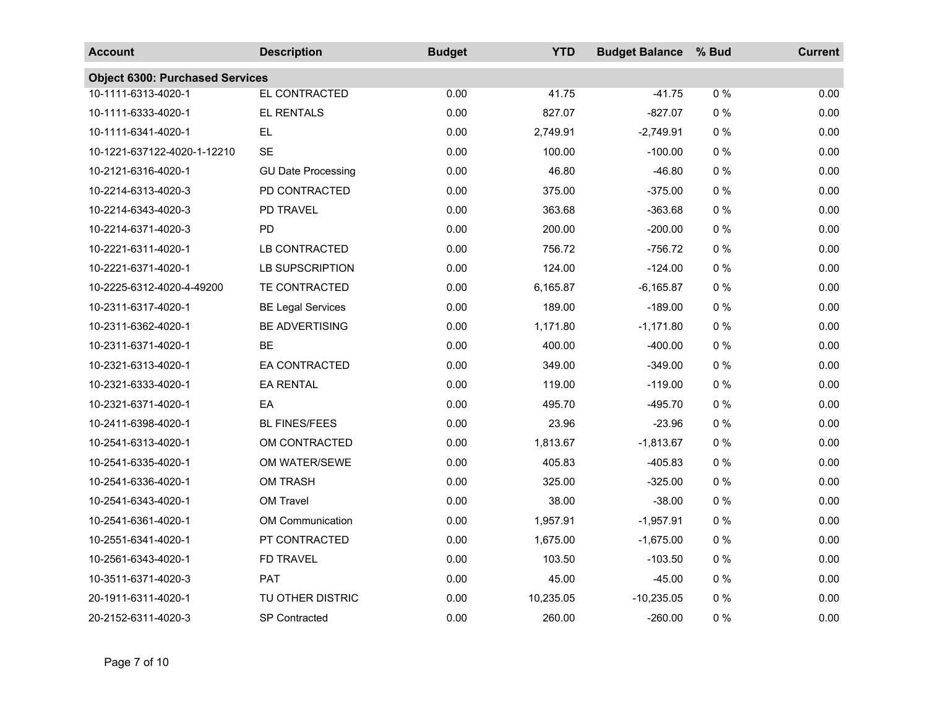| <b>Account</b>                         | <b>Description</b>        | <b>Budget</b> | <b>YTD</b> | <b>Budget Balance</b> | % Bud | <b>Current</b> |
|----------------------------------------|---------------------------|---------------|------------|-----------------------|-------|----------------|
| <b>Object 6300: Purchased Services</b> |                           |               |            |                       |       |                |
| 10-1111-6313-4020-1                    | EL CONTRACTED             | 0.00          | 41.75      | $-41.75$              | 0%    | 0.00           |
| 10-1111-6333-4020-1                    | EL RENTALS                | 0.00          | 827.07     | $-827.07$             | $0\%$ | 0.00           |
| 10-1111-6341-4020-1                    | <b>EL</b>                 | 0.00          | 2,749.91   | $-2,749.91$           | $0\%$ | 0.00           |
| 10-1221-637122-4020-1-12210            | <b>SE</b>                 | 0.00          | 100.00     | $-100.00$             | $0\%$ | 0.00           |
| 10-2121-6316-4020-1                    | <b>GU Date Processing</b> | 0.00          | 46.80      | $-46.80$              | $0\%$ | 0.00           |
| 10-2214-6313-4020-3                    | PD CONTRACTED             | 0.00          | 375.00     | $-375.00$             | $0\%$ | 0.00           |
| 10-2214-6343-4020-3                    | PD TRAVEL                 | 0.00          | 363.68     | $-363.68$             | $0\%$ | 0.00           |
| 10-2214-6371-4020-3                    | PD                        | 0.00          | 200.00     | $-200.00$             | $0\%$ | 0.00           |
| 10-2221-6311-4020-1                    | LB CONTRACTED             | 0.00          | 756.72     | $-756.72$             | $0\%$ | 0.00           |
| 10-2221-6371-4020-1                    | LB SUPSCRIPTION           | 0.00          | 124.00     | $-124.00$             | $0\%$ | 0.00           |
| 10-2225-6312-4020-4-49200              | TE CONTRACTED             | 0.00          | 6,165.87   | $-6,165.87$           | $0\%$ | 0.00           |
| 10-2311-6317-4020-1                    | <b>BE Legal Services</b>  | 0.00          | 189.00     | $-189.00$             | $0\%$ | 0.00           |
| 10-2311-6362-4020-1                    | <b>BE ADVERTISING</b>     | 0.00          | 1,171.80   | $-1,171.80$           | $0\%$ | 0.00           |
| 10-2311-6371-4020-1                    | <b>BE</b>                 | 0.00          | 400.00     | $-400.00$             | $0\%$ | 0.00           |
| 10-2321-6313-4020-1                    | EA CONTRACTED             | 0.00          | 349.00     | $-349.00$             | $0\%$ | 0.00           |
| 10-2321-6333-4020-1                    | <b>EA RENTAL</b>          | 0.00          | 119.00     | $-119.00$             | $0\%$ | 0.00           |
| 10-2321-6371-4020-1                    | EA                        | 0.00          | 495.70     | $-495.70$             | $0\%$ | 0.00           |
| 10-2411-6398-4020-1                    | <b>BL FINES/FEES</b>      | 0.00          | 23.96      | $-23.96$              | $0\%$ | 0.00           |
| 10-2541-6313-4020-1                    | OM CONTRACTED             | 0.00          | 1,813.67   | $-1,813.67$           | $0\%$ | 0.00           |
| 10-2541-6335-4020-1                    | OM WATER/SEWE             | 0.00          | 405.83     | $-405.83$             | $0\%$ | 0.00           |
| 10-2541-6336-4020-1                    | <b>OM TRASH</b>           | 0.00          | 325.00     | $-325.00$             | $0\%$ | 0.00           |
| 10-2541-6343-4020-1                    | OM Travel                 | 0.00          | 38.00      | $-38.00$              | $0\%$ | 0.00           |
| 10-2541-6361-4020-1                    | <b>OM Communication</b>   | 0.00          | 1,957.91   | $-1,957.91$           | $0\%$ | 0.00           |
| 10-2551-6341-4020-1                    | PT CONTRACTED             | 0.00          | 1,675.00   | $-1,675.00$           | $0\%$ | 0.00           |
| 10-2561-6343-4020-1                    | FD TRAVEL                 | 0.00          | 103.50     | $-103.50$             | $0\%$ | 0.00           |
| 10-3511-6371-4020-3                    | <b>PAT</b>                | 0.00          | 45.00      | $-45.00$              | $0\%$ | 0.00           |
| 20-1911-6311-4020-1                    | TU OTHER DISTRIC          | 0.00          | 10,235.05  | $-10,235.05$          | $0\%$ | 0.00           |
| 20-2152-6311-4020-3                    | <b>SP Contracted</b>      | 0.00          | 260.00     | $-260.00$             | $0\%$ | 0.00           |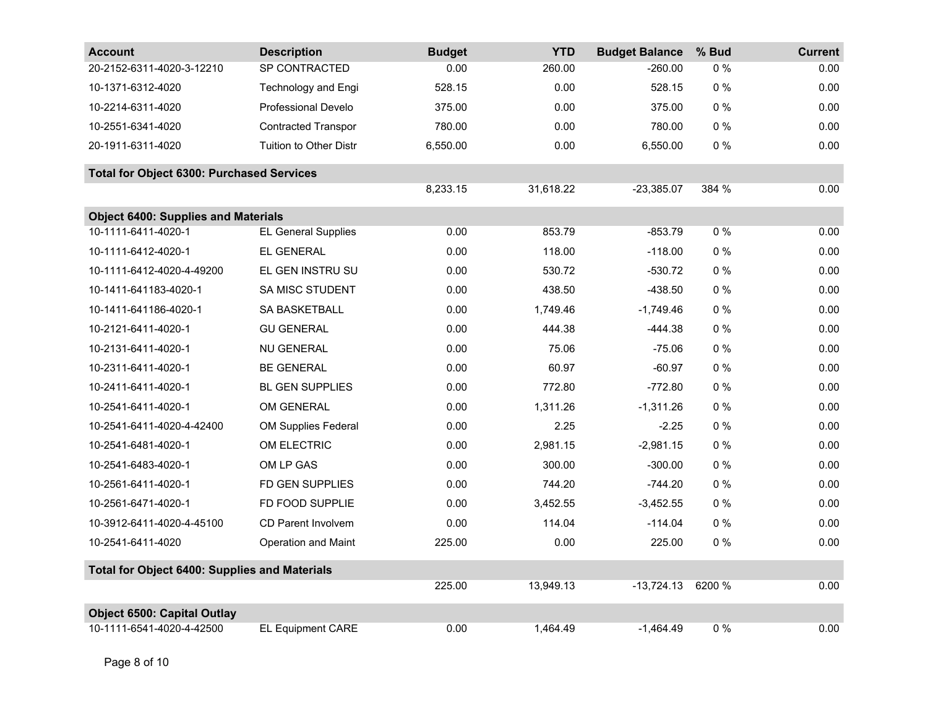| <b>Account</b>                                       | <b>Description</b>         | <b>Budget</b> | <b>YTD</b> | <b>Budget Balance</b> | % Bud  | <b>Current</b> |
|------------------------------------------------------|----------------------------|---------------|------------|-----------------------|--------|----------------|
| 20-2152-6311-4020-3-12210                            | SP CONTRACTED              | 0.00          | 260.00     | $-260.00$             | $0\%$  | 0.00           |
| 10-1371-6312-4020                                    | <b>Technology and Engi</b> | 528.15        | 0.00       | 528.15                | $0\%$  | 0.00           |
| 10-2214-6311-4020                                    | <b>Professional Develo</b> | 375.00        | 0.00       | 375.00                | $0\%$  | 0.00           |
| 10-2551-6341-4020                                    | <b>Contracted Transpor</b> | 780.00        | 0.00       | 780.00                | $0\%$  | 0.00           |
| 20-1911-6311-4020                                    | Tuition to Other Distr     | 6,550.00      | 0.00       | 6,550.00              | $0\%$  | 0.00           |
| <b>Total for Object 6300: Purchased Services</b>     |                            |               |            |                       |        |                |
|                                                      |                            | 8,233.15      | 31,618.22  | $-23,385.07$          | 384 %  | 0.00           |
| <b>Object 6400: Supplies and Materials</b>           |                            |               |            |                       |        |                |
| 10-1111-6411-4020-1                                  | <b>EL General Supplies</b> | 0.00          | 853.79     | $-853.79$             | $0\%$  | 0.00           |
| 10-1111-6412-4020-1                                  | EL GENERAL                 | 0.00          | 118.00     | $-118.00$             | $0\%$  | 0.00           |
| 10-1111-6412-4020-4-49200                            | EL GEN INSTRU SU           | 0.00          | 530.72     | $-530.72$             | $0\%$  | 0.00           |
| 10-1411-641183-4020-1                                | <b>SA MISC STUDENT</b>     | 0.00          | 438.50     | $-438.50$             | $0\%$  | 0.00           |
| 10-1411-641186-4020-1                                | SA BASKETBALL              | 0.00          | 1,749.46   | $-1,749.46$           | $0\%$  | 0.00           |
| 10-2121-6411-4020-1                                  | <b>GU GENERAL</b>          | 0.00          | 444.38     | $-444.38$             | $0\%$  | 0.00           |
| 10-2131-6411-4020-1                                  | <b>NU GENERAL</b>          | 0.00          | 75.06      | $-75.06$              | $0\%$  | 0.00           |
| 10-2311-6411-4020-1                                  | <b>BE GENERAL</b>          | 0.00          | 60.97      | $-60.97$              | $0\%$  | 0.00           |
| 10-2411-6411-4020-1                                  | BL GEN SUPPLIES            | 0.00          | 772.80     | $-772.80$             | $0\%$  | 0.00           |
| 10-2541-6411-4020-1                                  | OM GENERAL                 | 0.00          | 1,311.26   | $-1,311.26$           | $0\%$  | 0.00           |
| 10-2541-6411-4020-4-42400                            | <b>OM Supplies Federal</b> | 0.00          | 2.25       | $-2.25$               | $0\%$  | 0.00           |
| 10-2541-6481-4020-1                                  | OM ELECTRIC                | 0.00          | 2,981.15   | $-2,981.15$           | $0\%$  | 0.00           |
| 10-2541-6483-4020-1                                  | OM LP GAS                  | 0.00          | 300.00     | $-300.00$             | $0\%$  | 0.00           |
| 10-2561-6411-4020-1                                  | FD GEN SUPPLIES            | 0.00          | 744.20     | $-744.20$             | $0\%$  | 0.00           |
| 10-2561-6471-4020-1                                  | FD FOOD SUPPLIE            | 0.00          | 3,452.55   | $-3,452.55$           | $0\%$  | 0.00           |
| 10-3912-6411-4020-4-45100                            | <b>CD Parent Involvem</b>  | 0.00          | 114.04     | $-114.04$             | $0\%$  | 0.00           |
| 10-2541-6411-4020                                    | <b>Operation and Maint</b> | 225.00        | 0.00       | 225.00                | $0\%$  | 0.00           |
| <b>Total for Object 6400: Supplies and Materials</b> |                            |               |            |                       |        |                |
|                                                      |                            | 225.00        | 13,949.13  | $-13,724.13$          | 6200 % | 0.00           |
| <b>Object 6500: Capital Outlay</b>                   |                            |               |            |                       |        |                |
| 10-1111-6541-4020-4-42500                            | EL Equipment CARE          | 0.00          | 1,464.49   | $-1,464.49$           | $0\%$  | 0.00           |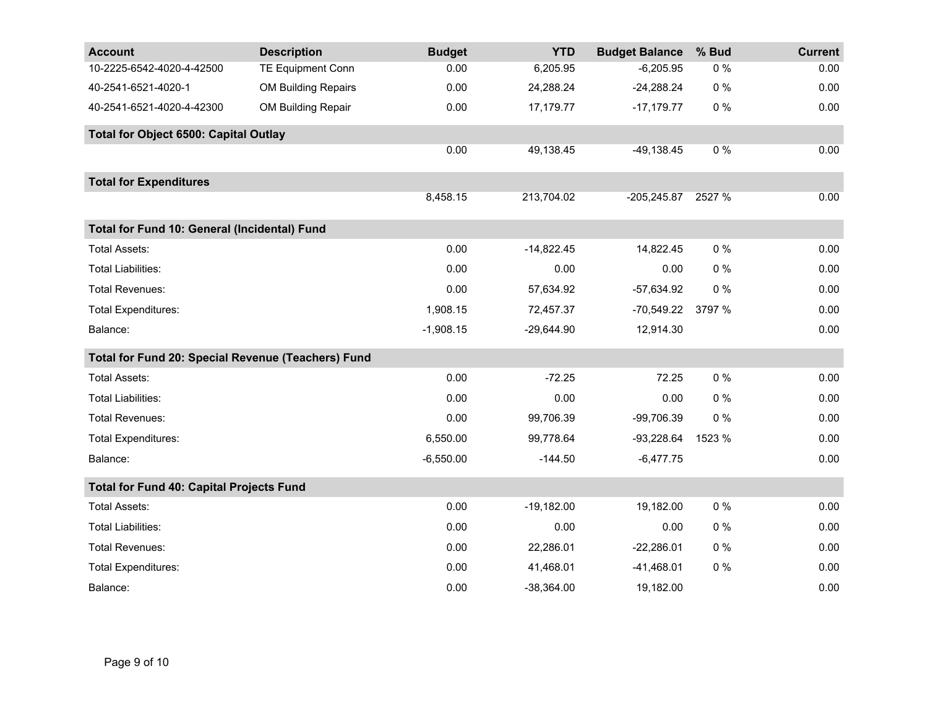| <b>Account</b>                                     | <b>Description</b>         | <b>Budget</b> | <b>YTD</b>   | <b>Budget Balance</b> | % Bud  | <b>Current</b> |
|----------------------------------------------------|----------------------------|---------------|--------------|-----------------------|--------|----------------|
| 10-2225-6542-4020-4-42500                          | <b>TE Equipment Conn</b>   | 0.00          | 6,205.95     | $-6,205.95$           | $0\%$  | 0.00           |
| 40-2541-6521-4020-1                                | <b>OM Building Repairs</b> | 0.00          | 24,288.24    | $-24,288.24$          | $0\%$  | 0.00           |
| 40-2541-6521-4020-4-42300                          | OM Building Repair         | 0.00          | 17,179.77    | $-17,179.77$          | $0\%$  | 0.00           |
| <b>Total for Object 6500: Capital Outlay</b>       |                            |               |              |                       |        |                |
|                                                    |                            | 0.00          | 49,138.45    | $-49,138.45$          | $0\%$  | 0.00           |
| <b>Total for Expenditures</b>                      |                            |               |              |                       |        |                |
|                                                    |                            | 8,458.15      | 213,704.02   | $-205,245.87$         | 2527 % | 0.00           |
| Total for Fund 10: General (Incidental) Fund       |                            |               |              |                       |        |                |
| <b>Total Assets:</b>                               |                            | 0.00          | $-14,822.45$ | 14,822.45             | 0%     | 0.00           |
| <b>Total Liabilities:</b>                          |                            | 0.00          | 0.00         | 0.00                  | $0\%$  | 0.00           |
| <b>Total Revenues:</b>                             |                            | 0.00          | 57,634.92    | $-57,634.92$          | $0\%$  | 0.00           |
| <b>Total Expenditures:</b>                         |                            | 1,908.15      | 72,457.37    | $-70,549.22$          | 3797 % | 0.00           |
| Balance:                                           |                            | $-1,908.15$   | $-29,644.90$ | 12,914.30             |        | 0.00           |
| Total for Fund 20: Special Revenue (Teachers) Fund |                            |               |              |                       |        |                |
| <b>Total Assets:</b>                               |                            | 0.00          | $-72.25$     | 72.25                 | $0\%$  | 0.00           |
| <b>Total Liabilities:</b>                          |                            | 0.00          | 0.00         | 0.00                  | $0\%$  | 0.00           |
| <b>Total Revenues:</b>                             |                            | 0.00          | 99,706.39    | -99,706.39            | 0%     | 0.00           |
| <b>Total Expenditures:</b>                         |                            | 6,550.00      | 99,778.64    | $-93,228.64$          | 1523 % | 0.00           |
| Balance:                                           |                            | $-6,550.00$   | $-144.50$    | $-6,477.75$           |        | 0.00           |
| <b>Total for Fund 40: Capital Projects Fund</b>    |                            |               |              |                       |        |                |
| <b>Total Assets:</b>                               |                            | 0.00          | $-19,182.00$ | 19,182.00             | $0\%$  | 0.00           |
| <b>Total Liabilities:</b>                          |                            | 0.00          | 0.00         | 0.00                  | $0\%$  | 0.00           |
| <b>Total Revenues:</b>                             |                            | 0.00          | 22,286.01    | $-22,286.01$          | $0\%$  | 0.00           |
| <b>Total Expenditures:</b>                         |                            | 0.00          | 41,468.01    | $-41,468.01$          | $0\%$  | 0.00           |
| Balance:                                           |                            | 0.00          | $-38,364.00$ | 19,182.00             |        | 0.00           |